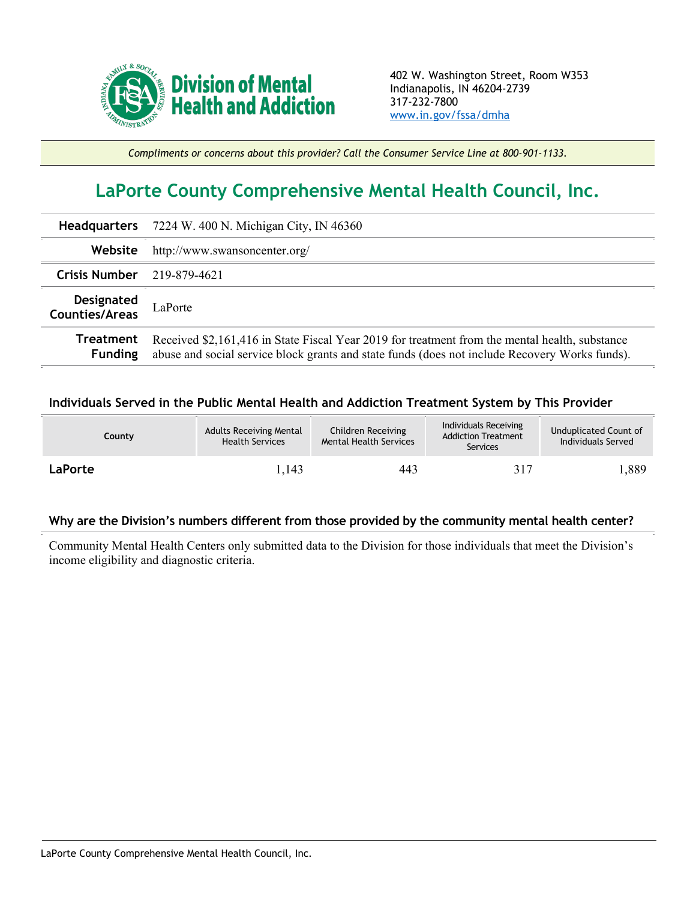

*Compliments or concerns about this provider? Call the Consumer Service Line at 800-901-1133.*

## **LaPorte County Comprehensive Mental Health Council, Inc.**

|                                     | <b>Headquarters</b> 7224 W. 400 N. Michigan City, IN 46360                                                                                                                                       |  |  |  |
|-------------------------------------|--------------------------------------------------------------------------------------------------------------------------------------------------------------------------------------------------|--|--|--|
| Website                             | http://www.swansoncenter.org/                                                                                                                                                                    |  |  |  |
| Crisis Number $219-879-4621$        |                                                                                                                                                                                                  |  |  |  |
| <b>Designated</b><br>Counties/Areas | LaPorte                                                                                                                                                                                          |  |  |  |
| Treatment<br><b>Funding</b>         | Received \$2,161,416 in State Fiscal Year 2019 for treatment from the mental health, substance<br>abuse and social service block grants and state funds (does not include Recovery Works funds). |  |  |  |

## **Individuals Served in the Public Mental Health and Addiction Treatment System by This Provider**

| <b>County</b> | <b>Adults Receiving Mental</b><br><b>Health Services</b> | Children Receiving<br><b>Mental Health Services</b> | Individuals Receiving<br><b>Addiction Treatment</b><br>Services | Unduplicated Count of<br>Individuals Served |
|---------------|----------------------------------------------------------|-----------------------------------------------------|-----------------------------------------------------------------|---------------------------------------------|
| LaPorte       | l.143                                                    | 443                                                 | 317                                                             | l,889                                       |

## **Why are the Division's numbers different from those provided by the community mental health center?**

Community Mental Health Centers only submitted data to the Division for those individuals that meet the Division's income eligibility and diagnostic criteria.